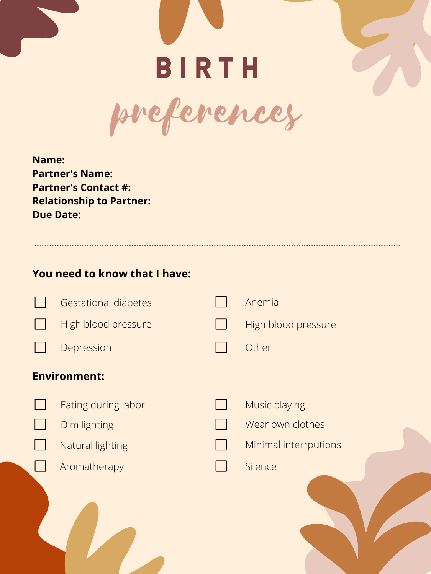**Name: Partner's Name: Partner's Contact #: Relationship to Partner: Due Date:** 



**You need to know that I have:**







| <b>Gestational diabetes</b> | Anemia                |
|-----------------------------|-----------------------|
| High blood pressure         | High blood pressure   |
| Depression                  | Other _               |
| <b>Environment:</b>         |                       |
| Eating during labor         | Music playing         |
| Dim lighting                | Wear own clothes      |
| <b>Natural lighting</b>     | Minimal interrputions |
| Aromatherapy                | Silence               |
|                             |                       |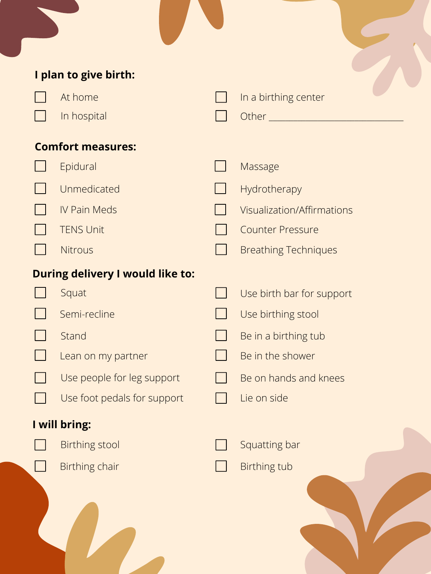#### **During delivery I would like to:**

# **I plan to give birth:**



In a birthing center





#### **Comfort measures:**













Breathing Techniques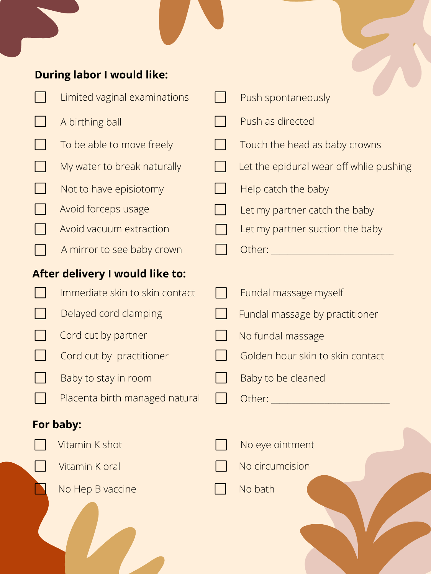Immediate skin to skin contact



### **After delivery I would like to:**



## **During labor I would like:**





Help catch the baby



- Let my partner catch the baby
- Let my partner suction the baby

Other:  $\rule{1em}{0.15mm}$ 



- Limited vaginal examinations
	- A birthing ball
	- To be able to move freely
		- My water to break naturally
	- Not to have episiotomy
	- Avoid forceps usage
	- Avoid vacuum extraction
	- A mirror to see baby crown